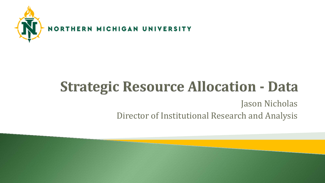

#### **Strategic Resource Allocation - Data** Jason Nicholas Director of Institutional Research and Analysis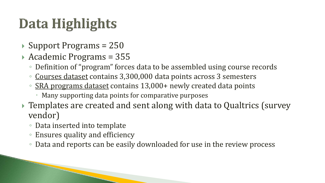## Data Highlights

- $\rightarrow$  Support Programs = 250
- Academic Programs = 355
	- Definition of "program" forces data to be assembled using course records
	- Courses dataset contains 3,300,000 data points across 3 semesters
	- SRA programs dataset contains 13,000+ newly created data points
		- Many supporting data points for comparative purposes
- ▶ Templates are created and sent along with data to Qualtrics (survey vendor)
	- Data inserted into template
	- Ensures quality and efficiency
	- Data and reports can be easily downloaded for use in the review process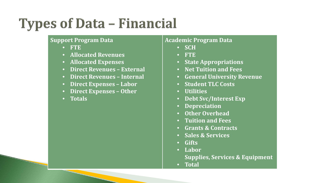#### **Types of Data - Financial**

#### **Support Program Data**

- **FTE**
- **Allocated Revenues**
- **Allocated Expenses**
- **Direct Revenues – External**
- **Direct Revenues – Internal**
- **Direct Expenses – Labor**
- **Direct Expenses – Other**
- **Totals**

#### **Academic Program Data**

- **SCH**
- **FTE**
- **State Appropriations**
- **Net Tuition and Fees**
- **General University Revenue**
- **Student TLC Costs**
- **Utilities**
- **Debt Svc/Interest Exp**
- **Depreciation**
- **Other Overhead**
- **Tuition and Fees**
- **Grants & Contracts**
- **Sales & Services**
- **Gifts**
- **Labor**
	- **Supplies, Services & Equipment**
- **Total**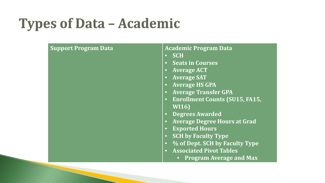#### **Types of Data - Academic**

| <b>Support Program Data</b> | <b>Academic Program Data</b><br><b>SCH</b><br><b>Seats in Courses</b><br>$\bullet$<br><b>Average ACT</b><br><b>Average SAT</b><br><b>Average HS GPA</b><br><b>Average Transfer GPA</b><br><b>Enrollment Counts (SU15, FA15,</b><br><b>WI16)</b><br><b>Degrees Awarded</b><br><b>Average Degree Hours at Grad</b><br><b>Exported Hours</b><br><b>SCH by Faculty Type</b><br>% of Dept. SCH by Faculty Type<br>$\bullet$ |
|-----------------------------|------------------------------------------------------------------------------------------------------------------------------------------------------------------------------------------------------------------------------------------------------------------------------------------------------------------------------------------------------------------------------------------------------------------------|
|                             | <b>Associated Pivot Tables</b><br><b>Program Average and Max</b>                                                                                                                                                                                                                                                                                                                                                       |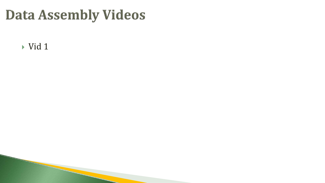#### **Data Assembly Videos**

 $\rightarrow$  [Vid 1](https://drive.google.com/file/d/0B2aFmduN93F5d0VwZGhKMzJDamc/view)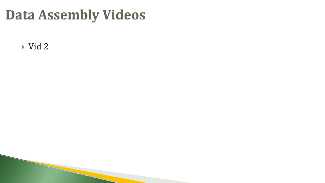#### **Data Assembly Videos**

[Vid 2](https://drive.google.com/file/d/0B2aFmduN93F5LVZLbUNnUUxjNFE/view)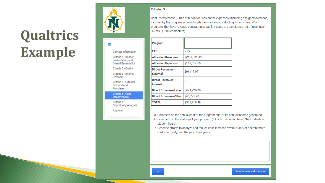### Qualtrics Example



Ξ

**Contact Information** Criteria 1 - Impact, Justification, and Overall Essentiality

Criteria 2 - Quality Criteria 3 - Internal

Demand Criteria 4 - External Demand and

Mandates

Criteria 5 - Cost **Effectiveness** 

Criteria 6 -Opportunity Analysis

Approval

#### **Criterion 5**

 $\ll$ 

Cost Effectiveness - This criterion focuses on the expenses (including assigned overhead) incurred by the program in providing its services and conducting its activities. (For programs that have revenue-generating capability, costs are considered net of revenues.) 15 pts. (1500 characters)

| Program                                    |                |
|--------------------------------------------|----------------|
| FTE                                        | 7.29           |
| <b>Allocated Revenues</b>                  | \$(242,501.92) |
| <b>Allocated Expenses</b>                  | \$117,814.60   |
| <b>Direct Revenues-</b><br><b>External</b> | \$(6, 117.97)  |
| <b>Direct Revenues-</b><br>Internal        | Ś              |
| <b>Direct Expenses-Labor</b>               | \$424,728.88   |
| <b>Direct Expenses-Other</b>               | \$43,795.90    |
| TOTAL                                      | \$337,719.49   |

a. Comment on the annual cost of the program and/or its annual income generated.

b. Comment on the staffing of your program (FT or PT including titles, GA, students student hours).

c. Describe efforts to analyze and reduce cost, increase revenue, and/or operate more cost effectively over the past three years.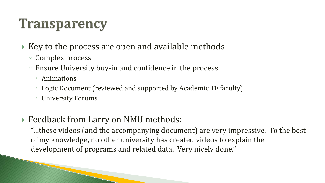#### **Transparency**

- $\rightarrow$  Key to the process are open and available methods
	- Complex process
	- Ensure University buy-in and confidence in the process
		- Animations
		- Logic Document (reviewed and supported by Academic TF faculty)
		- University Forums
- ▶ Feedback from Larry on NMU methods:

"…these videos (and the accompanying document) are very impressive. To the best of my knowledge, no other university has created videos to explain the development of programs and related data. Very nicely done."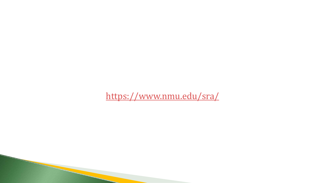<https://www.nmu.edu/sra/>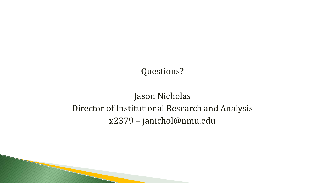#### Questions?

#### Jason Nicholas Director of Institutional Research and Analysis x2379 – janichol@nmu.edu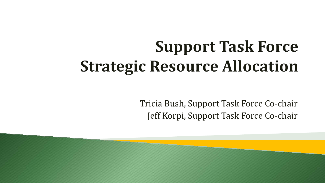# **Support Task Force Strategic Resource Allocation**

Tricia Bush, Support Task Force Co-chair Jeff Korpi, Support Task Force Co-chair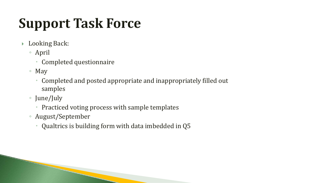# **Support Task Force**

- Looking Back:
	- April
		- Completed questionnaire
	- May
		- Completed and posted appropriate and inappropriately filled out samples
	- June/July
		- Practiced voting process with sample templates
	- August/September
		- Qualtrics is building form with data imbedded in Q5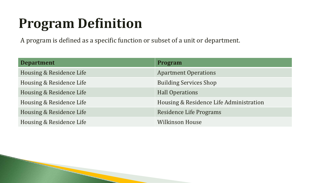#### **Program Definition**

A program is defined as a specific function or subset of a unit or department.

| <b>Department</b>        | <b>Program</b>                          |
|--------------------------|-----------------------------------------|
| Housing & Residence Life | <b>Apartment Operations</b>             |
| Housing & Residence Life | <b>Building Services Shop</b>           |
| Housing & Residence Life | <b>Hall Operations</b>                  |
| Housing & Residence Life | Housing & Residence Life Administration |
| Housing & Residence Life | Residence Life Programs                 |
| Housing & Residence Life | <b>Wilkinson House</b>                  |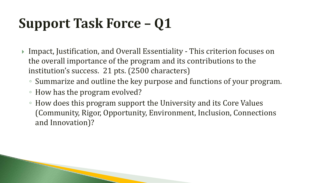- ▶ Impact, Justification, and Overall Essentiality This criterion focuses on the overall importance of the program and its contributions to the institution's success. 21 pts. (2500 characters)
	- Summarize and outline the key purpose and functions of your program.
	- How has the program evolved?
	- How does this program support the University and its Core Values (Community, Rigor, Opportunity, Environment, Inclusion, Connections and Innovation)?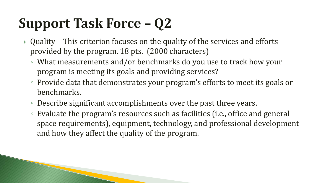- Quality This criterion focuses on the quality of the services and efforts provided by the program. 18 pts. (2000 characters)
	- What measurements and/or benchmarks do you use to track how your program is meeting its goals and providing services?
	- Provide data that demonstrates your program's efforts to meet its goals or benchmarks.
	- Describe significant accomplishments over the past three years.
	- Evaluate the program's resources such as facilities (i.e., office and general space requirements), equipment, technology, and professional development and how they affect the quality of the program.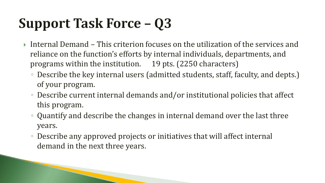- Internal Demand This criterion focuses on the utilization of the services and reliance on the function's efforts by internal individuals, departments, and programs within the institution. 19 pts. (2250 characters)
	- Describe the key internal users (admitted students, staff, faculty, and depts.) of your program.
	- Describe current internal demands and/or institutional policies that affect this program.
	- Quantify and describe the changes in internal demand over the last three years.
	- Describe any approved projects or initiatives that will affect internal demand in the next three years.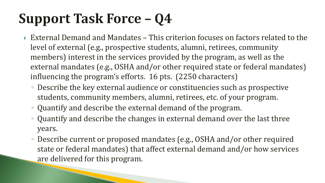- External Demand and Mandates This criterion focuses on factors related to the level of external (e.g., prospective students, alumni, retirees, community members) interest in the services provided by the program, as well as the external mandates (e.g., OSHA and/or other required state or federal mandates) influencing the program's efforts. 16 pts. (2250 characters)
	- Describe the key external audience or constituencies such as prospective students, community members, alumni, retirees, etc. of your program.
	- Quantify and describe the external demand of the program.
	- Quantify and describe the changes in external demand over the last three years.
	- Describe current or proposed mandates (e.g., OSHA and/or other required state or federal mandates) that affect external demand and/or how services are delivered for this program.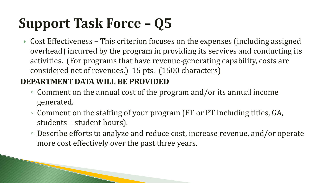▶ Cost Effectiveness – This criterion focuses on the expenses (including assigned overhead) incurred by the program in providing its services and conducting its activities. (For programs that have revenue-generating capability, costs are considered net of revenues.) 15 pts. (1500 characters)

#### **DEPARTMENT DATA WILL BE PROVIDED**

- Comment on the annual cost of the program and/or its annual income generated.
- Comment on the staffing of your program (FT or PT including titles, GA, students – student hours).
- Describe efforts to analyze and reduce cost, increase revenue, and/or operate more cost effectively over the past three years.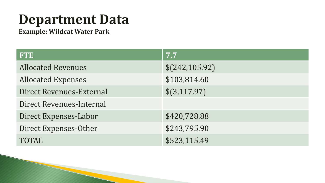#### **Department Data**

Example: Wildcat Water Park

| <b>FTE</b>                      | 7.7             |
|---------------------------------|-----------------|
| <b>Allocated Revenues</b>       | \$(242, 105.92) |
| <b>Allocated Expenses</b>       | \$103,814.60    |
| <b>Direct Revenues-External</b> | \$(3,117.97)    |
| <b>Direct Revenues-Internal</b> |                 |
| Direct Expenses-Labor           | \$420,728.88    |
| Direct Expenses-Other           | \$243,795.90    |
| <b>TOTAL</b>                    | \$523,115.49    |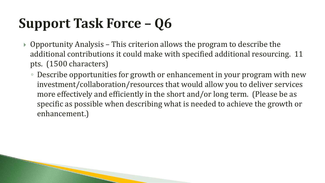- $\rightarrow$  Opportunity Analysis This criterion allows the program to describe the additional contributions it could make with specified additional resourcing. 11 pts. (1500 characters)
	- Describe opportunities for growth or enhancement in your program with new investment/collaboration/resources that would allow you to deliver services more effectively and efficiently in the short and/or long term. (Please be as specific as possible when describing what is needed to achieve the growth or enhancement.)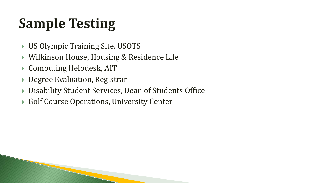# **Sample Testing**

- US Olympic Training Site, USOTS
- Wilkinson House, Housing & Residence Life
- Computing Helpdesk, AIT
- ▶ Degree Evaluation, Registrar
- Disability Student Services, Dean of Students Office
- ▶ Golf Course Operations, University Center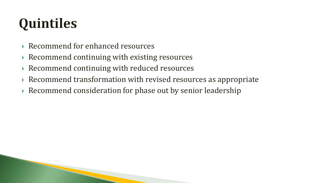# Quintiles

- ▶ Recommend for enhanced resources
- $\triangleright$  Recommend continuing with existing resources
- Recommend continuing with reduced resources
- Recommend transformation with revised resources as appropriate
- Recommend consideration for phase out by senior leadership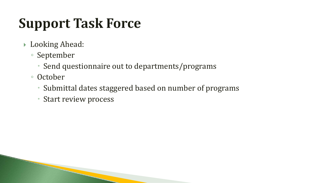#### **Support Task Force**

- ▶ Looking Ahead:
	- September
		- Send questionnaire out to departments/programs
	- October
		- Submittal dates staggered based on number of programs
		- Start review process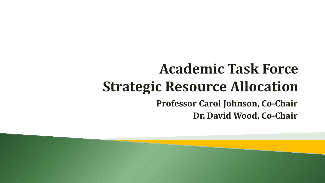#### **Academic Task Force Strategic Resource Allocation Professor Carol Johnson, Co-Chair Dr. David Wood, Co-Chair**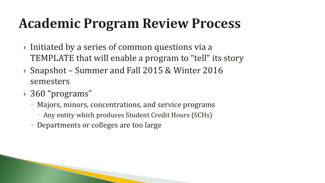#### **Academic Program Review Process**

- $\triangleright$  Initiated by a series of common questions via a TEMPLATE that will enable a program to "tell" its story
- Snapshot Summer and Fall 2015 & Winter 2016 semesters
- 360 "programs"
	- Majors, minors, concentrations, and service programs
		- Any entity which produces Student Credit Hours (SCHs)
	- Departments or colleges are too large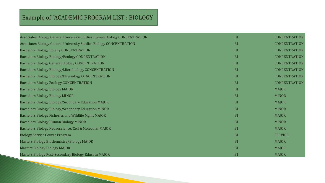#### Example of "ACADEMIC PROGRAM LIST : BIOLOGY

| Associates Biology General University Studies Human Biology CONCENTRATION | <b>BI</b>     | <b>CONCENTRATION</b> |
|---------------------------------------------------------------------------|---------------|----------------------|
| Associates Biology General University Studies Biology CONCENTRATION       | <sub>BI</sub> | <b>CONCENTRATION</b> |
| <b>Bachelors Biology Botany CONCENTRATION</b>                             | <b>BI</b>     | <b>CONCENTRATION</b> |
| <b>Bachelors Biology Biology/Ecology CONCENTRATION</b>                    | <b>BI</b>     | <b>CONCENTRATION</b> |
| <b>Bachelors Biology General Biology CONCENTRATION</b>                    | <b>BI</b>     | <b>CONCENTRATION</b> |
| <b>Bachelors Biology Biology/Microbiology CONCENTRATION</b>               | <b>BI</b>     | <b>CONCENTRATION</b> |
| Bachelors Biology Biology/Physiology CONCENTRATION                        | <b>BI</b>     | <b>CONCENTRATION</b> |
| <b>Bachelors Biology Zoology CONCENTRATION</b>                            | <b>BI</b>     | <b>CONCENTRATION</b> |
| <b>Bachelors Biology Biology MAJOR</b>                                    | <b>BI</b>     | <b>MAJOR</b>         |
| <b>Bachelors Biology Biology MINOR</b>                                    | <b>BI</b>     | <b>MINOR</b>         |
| Bachelors Biology Biology/Secondary Education MAJOR                       | <b>BI</b>     | <b>MAJOR</b>         |
| <b>Bachelors Biology Biology/Secondary Education MINOR</b>                | <b>BI</b>     | <b>MINOR</b>         |
| Bachelors Biology Fisheries and Wildlife Mgmt MAJOR                       | <sub>BI</sub> | <b>MAJOR</b>         |
| <b>Bachelors Biology Human Biology MINOR</b>                              | <sub>BI</sub> | <b>MINOR</b>         |
| Bachelors Biology Neuroscience/Cell & Molecular MAJOR                     | <sub>BI</sub> | <b>MAJOR</b>         |
| <b>Biology Service Course Program</b>                                     | <b>BI</b>     | <b>SERVICE</b>       |
| Masters Biology Biochemistry/Biology MAJOR                                | <b>BI</b>     | <b>MAJOR</b>         |
| <b>Masters Biology Biology MAJOR</b>                                      | <b>BI</b>     | <b>MAJOR</b>         |
| Masters Biology Post-Secondary Biology Educatn MAJOR                      | <b>BI</b>     | <b>MAJOR</b>         |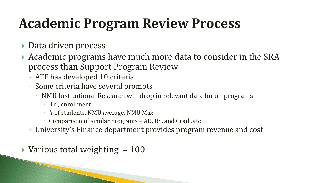### **Academic Program Review Process**

- ▶ Data driven process
- Academic programs have much more data to consider in the SRA process than Support Program Review
	- ATF has developed 10 criteria
	- Some criteria have several prompts
		- NMU Institutional Research will drop in relevant data for all programs
			- i.e., enrollment
			- # of students, NMU average, NMU Max
			- Comparison of similar programs AD, BS, and Graduate
	- University's Finance department provides program revenue and cost
- $\blacktriangleright$  Various total weighting = 100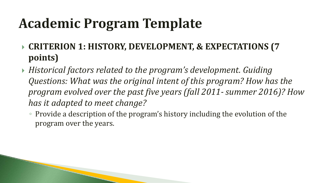- **CRITERION 1: HISTORY, DEVELOPMENT, & EXPECTATIONS (7 points)**
- *Historical factors related to the program's development. Guiding Questions: What was the original intent of this program? How has the program evolved over the past five years (fall 2011- summer 2016)? How has it adapted to meet change?*
	- Provide a description of the program's history including the evolution of the program over the years.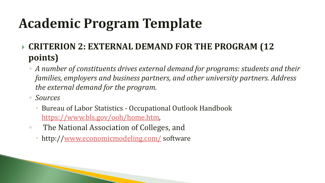- **CRITERION 2: EXTERNAL DEMAND FOR THE PROGRAM (12 points)**
	- *A number of constituents drives external demand for programs: students and their families, employers and business partners, and other university partners. Address the external demand for the program.*
	- *Sources*
		- Bureau of Labor Statistics Occupational Outlook Handbook <https://www.bls.gov/ooh/home.htm>,
	- The National Association of Colleges, and
		- http:/[/www.economicmodeling.com/](http://www.economicmodeling.com/) software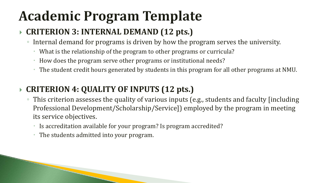#### **CRITERION 3: INTERNAL DEMAND (12 pts.)**

- Internal demand for programs is driven by how the program serves the university.
	- What is the relationship of the program to other programs or curricula?
	- How does the program serve other programs or institutional needs?
	- The student credit hours generated by students in this program for all other programs at NMU.

#### **CRITERION 4: QUALITY OF INPUTS (12 pts.)**

- This criterion assesses the quality of various inputs (e.g., students and faculty [including Professional Development/Scholarship/Service]) employed by the program in meeting its service objectives.
	- Is accreditation available for your program? Is program accredited?
	- The students admitted into your program.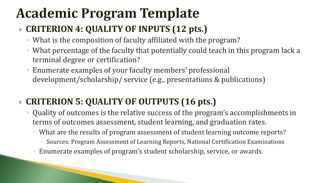#### **CRITERION 4: QUALITY OF INPUTS (12 pts.)**

- What is the composition of faculty affiliated with the program?
- What percentage of the faculty that potentially could teach in this program lack a terminal degree or certification?
- Enumerate examples of your faculty members' professional development/scholarship/ service (e.g., presentations & publications)

#### **CRITERION 5: QUALITY OF OUTPUTS (16 pts.)**

- Quality of outcomes is the relative success of the program's accomplishments in terms of outcomes assessment, student learning, and graduation rates.
	- What are the results of program assessment of student learning outcome reports?
		- Sources: Program Assessment of Learning Reports, National Certification Examinations
	- Enumerate examples of program's student scholarship, service, or awards.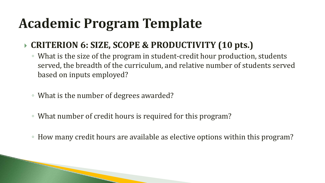#### **CRITERION 6: SIZE, SCOPE & PRODUCTIVITY (10 pts.)**

- What is the size of the program in student-credit hour production, students served, the breadth of the curriculum, and relative number of students served based on inputs employed?
- What is the number of degrees awarded?
- What number of credit hours is required for this program?
- How many credit hours are available as elective options within this program?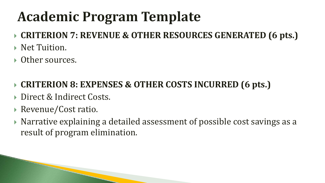- **CRITERION 7: REVENUE & OTHER RESOURCES GENERATED (6 pts.)**
- ▶ Net Tuition.
- ▶ Other sources.
- **CRITERION 8: EXPENSES & OTHER COSTS INCURRED (6 pts.)**
- Direct & Indirect Costs.
- Revenue/Cost ratio.
- $\triangleright$  Narrative explaining a detailed assessment of possible cost savings as a result of program elimination.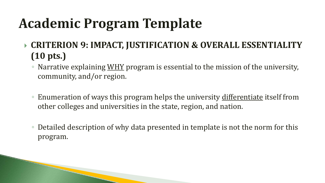- **CRITERION 9: IMPACT, JUSTIFICATION & OVERALL ESSENTIALITY (10 pts.)** 
	- Narrative explaining WHY program is essential to the mission of the university, community, and/or region.
	- Enumeration of ways this program helps the university differentiate itself from other colleges and universities in the state, region, and nation.
	- Detailed description of why data presented in template is not the norm for this program.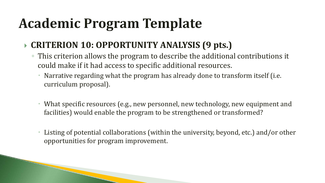#### **CRITERION 10: OPPORTUNITY ANALYSIS (9 pts.)**

- This criterion allows the program to describe the additional contributions it could make if it had access to specific additional resources.
	- Narrative regarding what the program has already done to transform itself (i.e. curriculum proposal).
	- What specific resources (e.g., new personnel, new technology, new equipment and facilities) would enable the program to be strengthened or transformed?
	- Listing of potential collaborations (within the university, beyond, etc.) and/or other opportunities for program improvement.